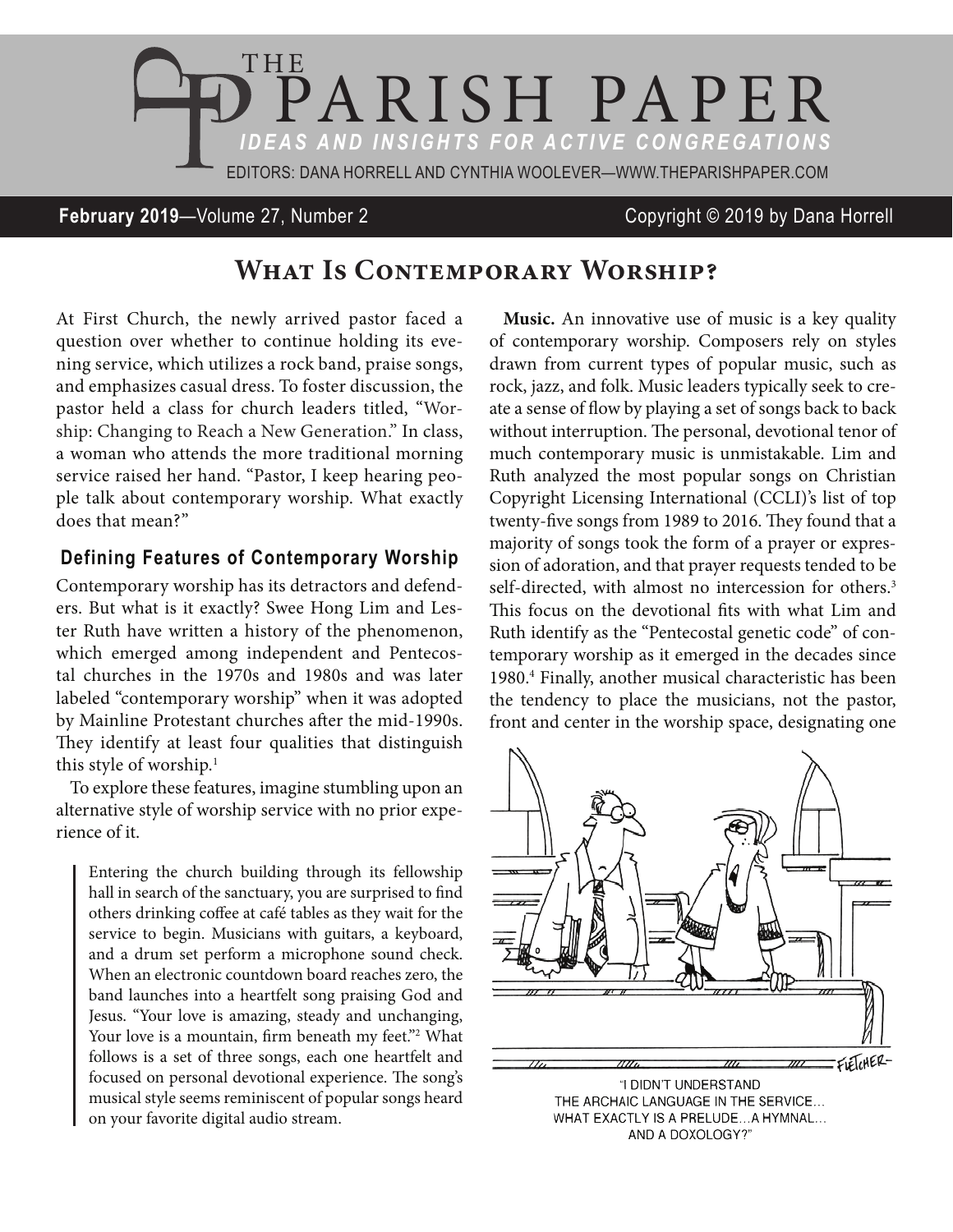

**February 2019**—Volume 27, Number 2 Copyright © 2019 by Dana Horrell

## WHAT IS CONTEMPORARY WORSHIP?

At First Church, the newly arrived pastor faced a question over whether to continue holding its evening service, which utilizes a rock band, praise songs, and emphasizes casual dress. To foster discussion, the pastor held a class for church leaders titled, "Worship: Changing to Reach a New Generation." In class, a woman who attends the more traditional morning service raised her hand. "Pastor, I keep hearing people talk about contemporary worship. What exactly does that mean?"

## **Defining Features of Contemporary Worship**

Contemporary worship has its detractors and defenders. But what is it exactly? Swee Hong Lim and Lester Ruth have written a history of the phenomenon, which emerged among independent and Pentecostal churches in the 1970s and 1980s and was later labeled "contemporary worship" when it was adopted by Mainline Protestant churches after the mid-1990s. They identify at least four qualities that distinguish this style of worship.<sup>1</sup>

To explore these features, imagine stumbling upon an alternative style of worship service with no prior experience of it.

Entering the church building through its fellowship hall in search of the sanctuary, you are surprised to find others drinking coffee at café tables as they wait for the service to begin. Musicians with guitars, a keyboard, and a drum set perform a microphone sound check. When an electronic countdown board reaches zero, the band launches into a heartfelt song praising God and Jesus. "Your love is amazing, steady and unchanging, Your love is a mountain, firm beneath my feet."<sup>2</sup> What follows is a set of three songs, each one heartfelt and focused on personal devotional experience. The song's musical style seems reminiscent of popular songs heard on your favorite digital audio stream.

**Music.** An innovative use of music is a key quality of contemporary worship. Composers rely on styles drawn from current types of popular music, such as rock, jazz, and folk. Music leaders typically seek to create a sense of flow by playing a set of songs back to back without interruption. The personal, devotional tenor of much contemporary music is unmistakable. Lim and Ruth analyzed the most popular songs on Christian Copyright Licensing International (CCLI)'s list of top twenty-five songs from 1989 to 2016. They found that a majority of songs took the form of a prayer or expression of adoration, and that prayer requests tended to be self-directed, with almost no intercession for others.<sup>3</sup> This focus on the devotional fits with what Lim and Ruth identify as the "Pentecostal genetic code" of contemporary worship as it emerged in the decades since 1980.4 Finally, another musical characteristic has been the tendency to place the musicians, not the pastor, front and center in the worship space, designating one



"I DIDN'T UNDERSTAND THE ARCHAIC LANGUAGE IN THE SERVICE... WHAT EXACTLY IS A PRELUDE... A HYMNAL... AND A DOXOLOGY?"